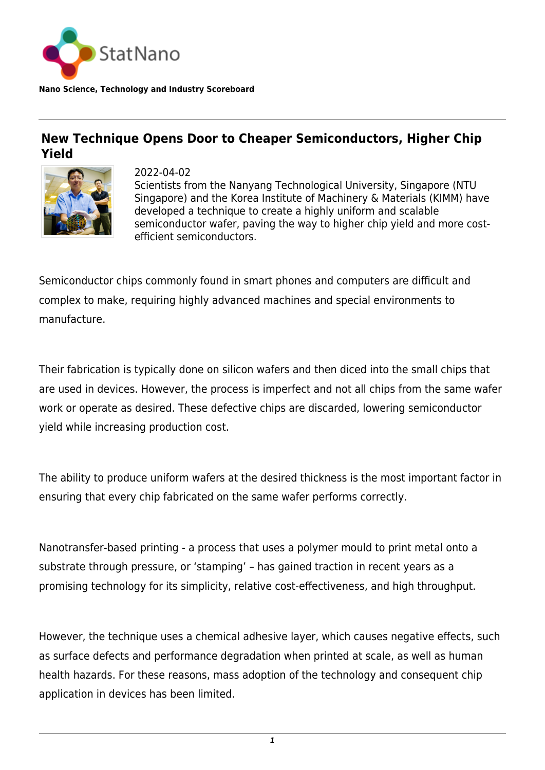

## **New Technique Opens Door to Cheaper Semiconductors, Higher Chip Yield**



2022-04-02 Scientists from the Nanyang Technological University, Singapore (NTU Singapore) and the Korea Institute of Machinery & Materials (KIMM) have developed a technique to create a highly uniform and scalable semiconductor wafer, paving the way to higher chip yield and more costefficient semiconductors.

Semiconductor chips commonly found in smart phones and computers are difficult and complex to make, requiring highly advanced machines and special environments to manufacture.

Their fabrication is typically done on silicon wafers and then diced into the small chips that are used in devices. However, the process is imperfect and not all chips from the same wafer work or operate as desired. These defective chips are discarded, lowering semiconductor yield while increasing production cost.

The ability to produce uniform wafers at the desired thickness is the most important factor in ensuring that every chip fabricated on the same wafer performs correctly.

Nanotransfer-based printing - a process that uses a polymer mould to print metal onto a substrate through pressure, or 'stamping' – has gained traction in recent years as a promising technology for its simplicity, relative cost-effectiveness, and high throughput.

However, the technique uses a chemical adhesive layer, which causes negative effects, such as surface defects and performance degradation when printed at scale, as well as human health hazards. For these reasons, mass adoption of the technology and consequent chip application in devices has been limited.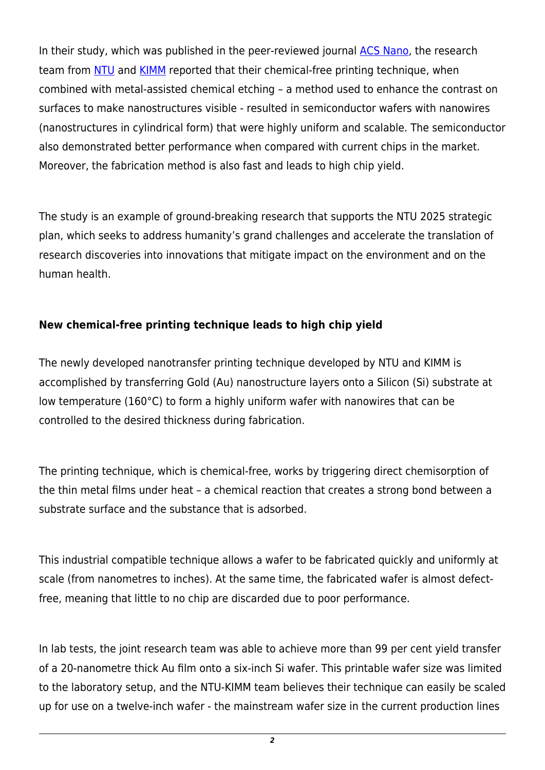In their study, which was published in the peer-reviewed journal [ACS Nano,](http://dx.doi.org/10.1021/acsnano.1c06781) the research team from [NTU](https://statnano.com/org/Nanyang-Technological-University) and [KIMM](https://www.kimm.re.kr/eng) reported that their chemical-free printing technique, when combined with metal-assisted chemical etching – a method used to enhance the contrast on surfaces to make nanostructures visible - resulted in semiconductor wafers with nanowires (nanostructures in cylindrical form) that were highly uniform and scalable. The semiconductor also demonstrated better performance when compared with current chips in the market. Moreover, the fabrication method is also fast and leads to high chip yield.

The study is an example of ground-breaking research that supports the NTU 2025 strategic plan, which seeks to address humanity's grand challenges and accelerate the translation of research discoveries into innovations that mitigate impact on the environment and on the human health.

## **New chemical-free printing technique leads to high chip yield**

The newly developed nanotransfer printing technique developed by NTU and KIMM is accomplished by transferring Gold (Au) nanostructure layers onto a Silicon (Si) substrate at low temperature (160°C) to form a highly uniform wafer with nanowires that can be controlled to the desired thickness during fabrication.

The printing technique, which is chemical-free, works by triggering direct chemisorption of the thin metal films under heat – a chemical reaction that creates a strong bond between a substrate surface and the substance that is adsorbed.

This industrial compatible technique allows a wafer to be fabricated quickly and uniformly at scale (from nanometres to inches). At the same time, the fabricated wafer is almost defectfree, meaning that little to no chip are discarded due to poor performance.

In lab tests, the joint research team was able to achieve more than 99 per cent yield transfer of a 20-nanometre thick Au film onto a six-inch Si wafer. This printable wafer size was limited to the laboratory setup, and the NTU-KIMM team believes their technique can easily be scaled up for use on a twelve-inch wafer - the mainstream wafer size in the current production lines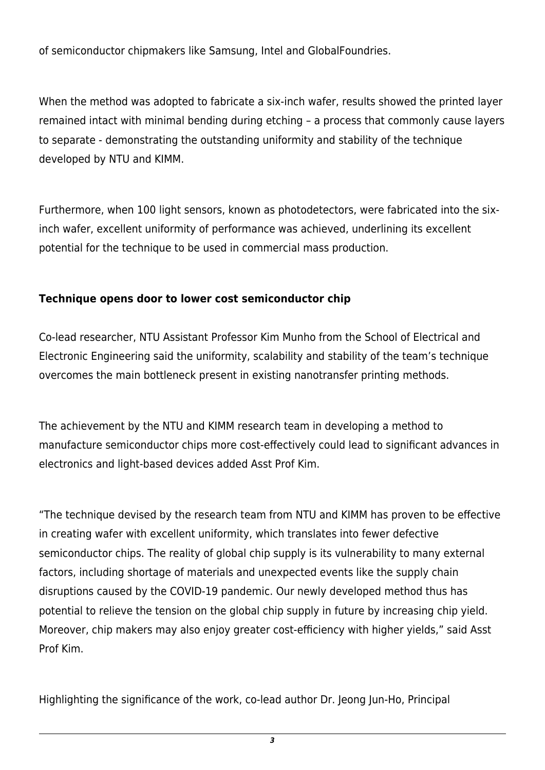of semiconductor chipmakers like Samsung, Intel and GlobalFoundries.

When the method was adopted to fabricate a six-inch wafer, results showed the printed layer remained intact with minimal bending during etching – a process that commonly cause layers to separate - demonstrating the outstanding uniformity and stability of the technique developed by NTU and KIMM.

Furthermore, when 100 light sensors, known as photodetectors, were fabricated into the sixinch wafer, excellent uniformity of performance was achieved, underlining its excellent potential for the technique to be used in commercial mass production.

## **Technique opens door to lower cost semiconductor chip**

Co-lead researcher, NTU Assistant Professor Kim Munho from the School of Electrical and Electronic Engineering said the uniformity, scalability and stability of the team's technique overcomes the main bottleneck present in existing nanotransfer printing methods.

The achievement by the NTU and KIMM research team in developing a method to manufacture semiconductor chips more cost-effectively could lead to significant advances in electronics and light-based devices added Asst Prof Kim.

"The technique devised by the research team from NTU and KIMM has proven to be effective in creating wafer with excellent uniformity, which translates into fewer defective semiconductor chips. The reality of global chip supply is its vulnerability to many external factors, including shortage of materials and unexpected events like the supply chain disruptions caused by the COVID-19 pandemic. Our newly developed method thus has potential to relieve the tension on the global chip supply in future by increasing chip yield. Moreover, chip makers may also enjoy greater cost-efficiency with higher yields," said Asst Prof Kim.

Highlighting the significance of the work, co-lead author Dr. Jeong Jun-Ho, Principal

*3*